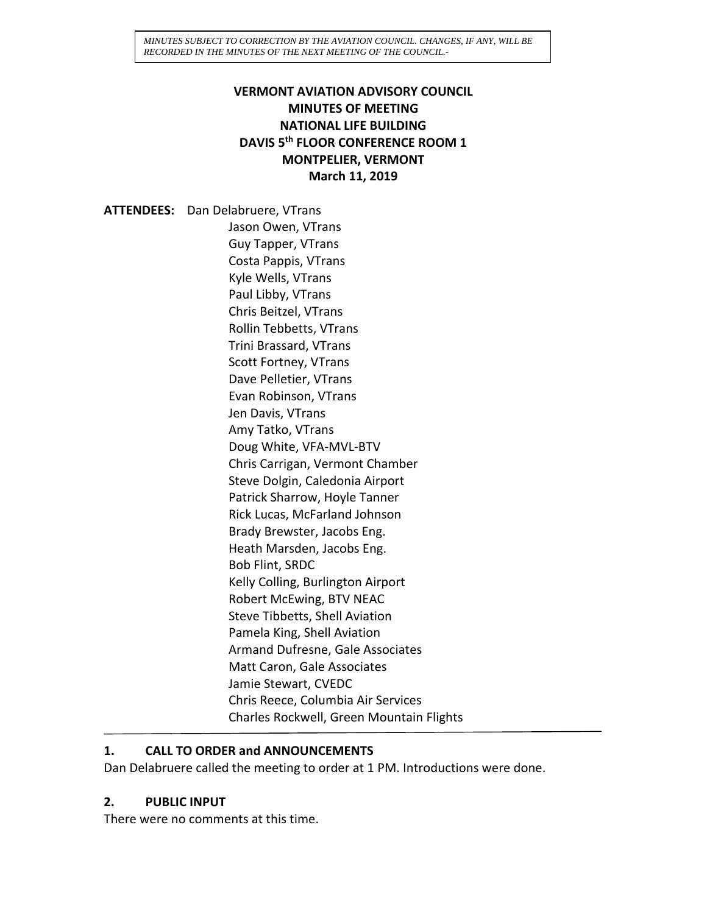## **VERMONT AVIATION ADVISORY COUNCIL MINUTES OF MEETING NATIONAL LIFE BUILDING DAVIS 5th FLOOR CONFERENCE ROOM 1 MONTPELIER, VERMONT March 11, 2019**

**ATTENDEES:** Dan Delabruere, VTrans Jason Owen, VTrans Guy Tapper, VTrans Costa Pappis, VTrans Kyle Wells, VTrans Paul Libby, VTrans Chris Beitzel, VTrans Rollin Tebbetts, VTrans Trini Brassard, VTrans Scott Fortney, VTrans Dave Pelletier, VTrans Evan Robinson, VTrans Jen Davis, VTrans Amy Tatko, VTrans Doug White, VFA-MVL-BTV Chris Carrigan, Vermont Chamber Steve Dolgin, Caledonia Airport Patrick Sharrow, Hoyle Tanner Rick Lucas, McFarland Johnson Brady Brewster, Jacobs Eng. Heath Marsden, Jacobs Eng. Bob Flint, SRDC Kelly Colling, Burlington Airport Robert McEwing, BTV NEAC Steve Tibbetts, Shell Aviation Pamela King, Shell Aviation Armand Dufresne, Gale Associates Matt Caron, Gale Associates Jamie Stewart, CVEDC Chris Reece, Columbia Air Services Charles Rockwell, Green Mountain Flights

#### **1. CALL TO ORDER and ANNOUNCEMENTS**

Dan Delabruere called the meeting to order at 1 PM. Introductions were done.

### **2. PUBLIC INPUT**

There were no comments at this time.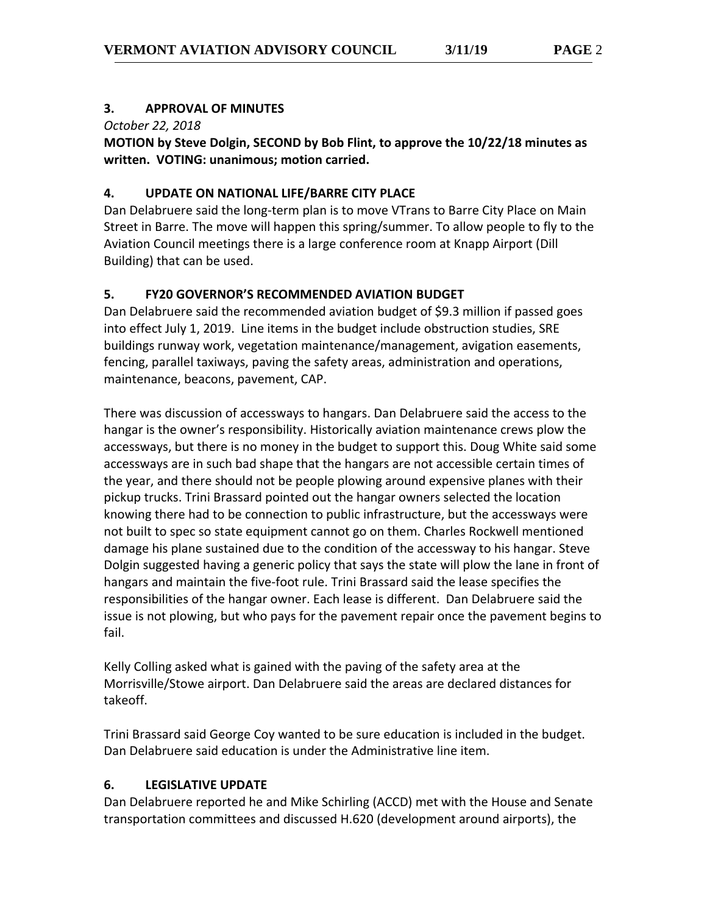### **3. APPROVAL OF MINUTES**

*October 22, 2018*

**MOTION by Steve Dolgin, SECOND by Bob Flint, to approve the 10/22/18 minutes as written. VOTING: unanimous; motion carried.**

## **4. UPDATE ON NATIONAL LIFE/BARRE CITY PLACE**

Dan Delabruere said the long-term plan is to move VTrans to Barre City Place on Main Street in Barre. The move will happen this spring/summer. To allow people to fly to the Aviation Council meetings there is a large conference room at Knapp Airport (Dill Building) that can be used.

# **5. FY20 GOVERNOR'S RECOMMENDED AVIATION BUDGET**

Dan Delabruere said the recommended aviation budget of \$9.3 million if passed goes into effect July 1, 2019. Line items in the budget include obstruction studies, SRE buildings runway work, vegetation maintenance/management, avigation easements, fencing, parallel taxiways, paving the safety areas, administration and operations, maintenance, beacons, pavement, CAP.

There was discussion of accessways to hangars. Dan Delabruere said the access to the hangar is the owner's responsibility. Historically aviation maintenance crews plow the accessways, but there is no money in the budget to support this. Doug White said some accessways are in such bad shape that the hangars are not accessible certain times of the year, and there should not be people plowing around expensive planes with their pickup trucks. Trini Brassard pointed out the hangar owners selected the location knowing there had to be connection to public infrastructure, but the accessways were not built to spec so state equipment cannot go on them. Charles Rockwell mentioned damage his plane sustained due to the condition of the accessway to his hangar. Steve Dolgin suggested having a generic policy that says the state will plow the lane in front of hangars and maintain the five-foot rule. Trini Brassard said the lease specifies the responsibilities of the hangar owner. Each lease is different. Dan Delabruere said the issue is not plowing, but who pays for the pavement repair once the pavement begins to fail.

Kelly Colling asked what is gained with the paving of the safety area at the Morrisville/Stowe airport. Dan Delabruere said the areas are declared distances for takeoff.

Trini Brassard said George Coy wanted to be sure education is included in the budget. Dan Delabruere said education is under the Administrative line item.

### **6. LEGISLATIVE UPDATE**

Dan Delabruere reported he and Mike Schirling (ACCD) met with the House and Senate transportation committees and discussed H.620 (development around airports), the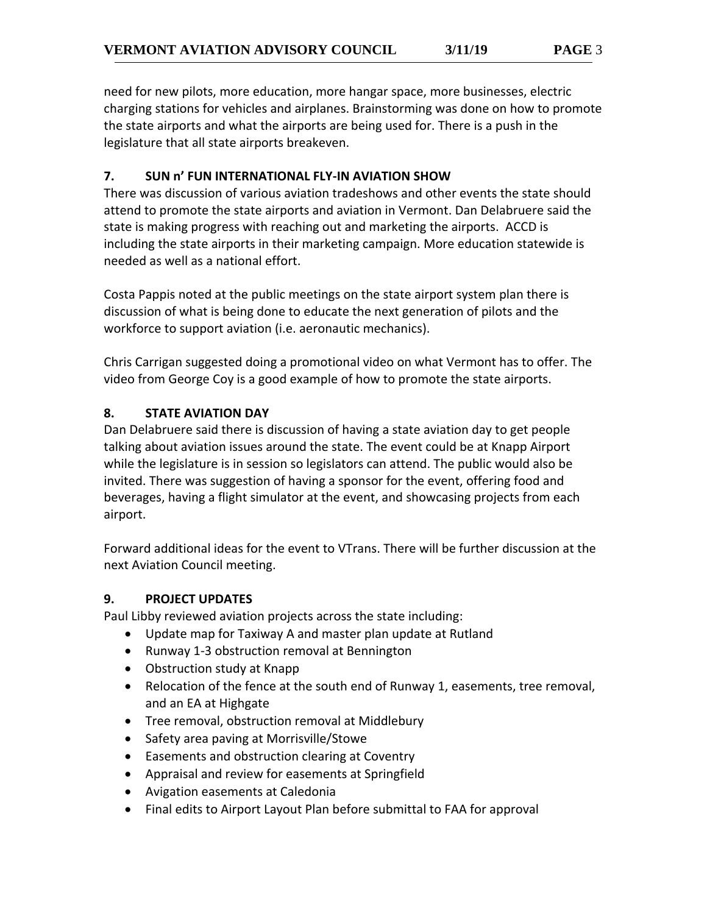need for new pilots, more education, more hangar space, more businesses, electric charging stations for vehicles and airplanes. Brainstorming was done on how to promote the state airports and what the airports are being used for. There is a push in the legislature that all state airports breakeven.

### **7. SUN n' FUN INTERNATIONAL FLY-IN AVIATION SHOW**

There was discussion of various aviation tradeshows and other events the state should attend to promote the state airports and aviation in Vermont. Dan Delabruere said the state is making progress with reaching out and marketing the airports. ACCD is including the state airports in their marketing campaign. More education statewide is needed as well as a national effort.

Costa Pappis noted at the public meetings on the state airport system plan there is discussion of what is being done to educate the next generation of pilots and the workforce to support aviation (i.e. aeronautic mechanics).

Chris Carrigan suggested doing a promotional video on what Vermont has to offer. The video from George Coy is a good example of how to promote the state airports.

## **8. STATE AVIATION DAY**

Dan Delabruere said there is discussion of having a state aviation day to get people talking about aviation issues around the state. The event could be at Knapp Airport while the legislature is in session so legislators can attend. The public would also be invited. There was suggestion of having a sponsor for the event, offering food and beverages, having a flight simulator at the event, and showcasing projects from each airport.

Forward additional ideas for the event to VTrans. There will be further discussion at the next Aviation Council meeting.

### **9. PROJECT UPDATES**

Paul Libby reviewed aviation projects across the state including:

- Update map for Taxiway A and master plan update at Rutland
- Runway 1-3 obstruction removal at Bennington
- Obstruction study at Knapp
- Relocation of the fence at the south end of Runway 1, easements, tree removal, and an EA at Highgate
- Tree removal, obstruction removal at Middlebury
- Safety area paving at Morrisville/Stowe
- Easements and obstruction clearing at Coventry
- Appraisal and review for easements at Springfield
- Avigation easements at Caledonia
- Final edits to Airport Layout Plan before submittal to FAA for approval